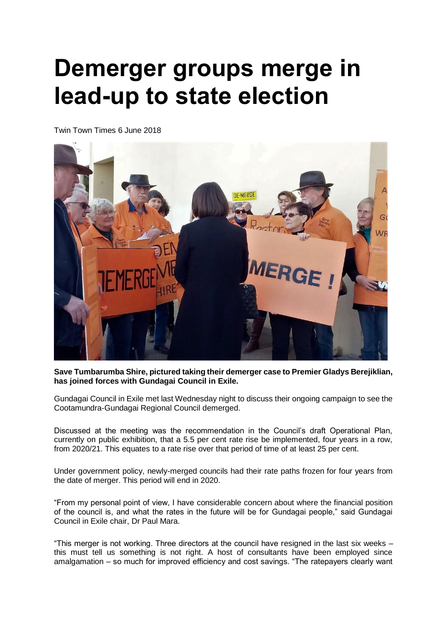## **Demerger groups merge in lead-up to state election**

Twin Town Times 6 June 2018



**Save Tumbarumba Shire, pictured taking their demerger case to Premier Gladys Berejiklian, has joined forces with Gundagai Council in Exile.**

Gundagai Council in Exile met last Wednesday night to discuss their ongoing campaign to see the Cootamundra-Gundagai Regional Council demerged.

Discussed at the meeting was the recommendation in the Council's draft Operational Plan, currently on public exhibition, that a 5.5 per cent rate rise be implemented, four years in a row, from 2020/21. This equates to a rate rise over that period of time of at least 25 per cent.

Under government policy, newly-merged councils had their rate paths frozen for four years from the date of merger. This period will end in 2020.

"From my personal point of view, I have considerable concern about where the financial position of the council is, and what the rates in the future will be for Gundagai people," said Gundagai Council in Exile chair, Dr Paul Mara.

"This merger is not working. Three directors at the council have resigned in the last six weeks – this must tell us something is not right. A host of consultants have been employed since amalgamation – so much for improved efficiency and cost savings. "The ratepayers clearly want